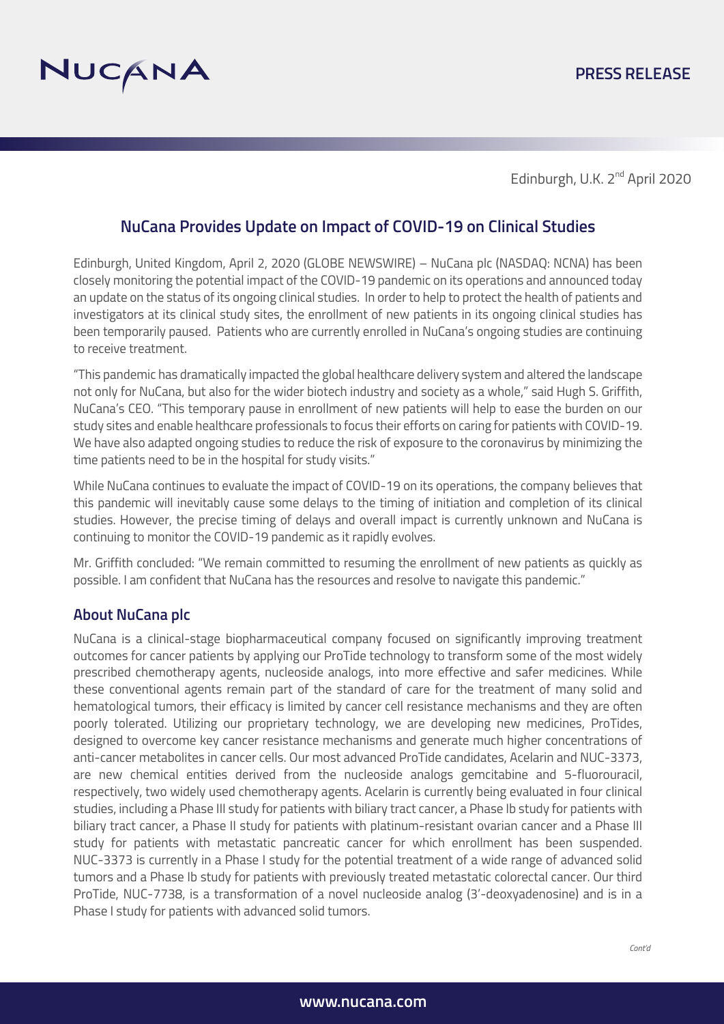

Edinburgh, U.K. 2<sup>nd</sup> April 2020

## **NuCana Provides Update on Impact of COVID-19 on Clinical Studies**

Edinburgh, United Kingdom, April 2, 2020 (GLOBE NEWSWIRE) – NuCana plc (NASDAQ: NCNA) has been closely monitoring the potential impact of the COVID-19 pandemic on its operations and announced today an update on the status of its ongoing clinical studies. In order to help to protect the health of patients and investigators at its clinical study sites, the enrollment of new patients in its ongoing clinical studies has been temporarily paused. Patients who are currently enrolled in NuCana's ongoing studies are continuing to receive treatment.

"This pandemic has dramatically impacted the global healthcare delivery system and altered the landscape not only for NuCana, but also for the wider biotech industry and society as a whole," said Hugh S. Griffith, NuCana's CEO. "This temporary pause in enrollment of new patients will help to ease the burden on our study sites and enable healthcare professionals to focus their efforts on caring for patients with COVID-19. We have also adapted ongoing studies to reduce the risk of exposure to the coronavirus by minimizing the time patients need to be in the hospital for study visits."

While NuCana continues to evaluate the impact of COVID-19 on its operations, the company believes that this pandemic will inevitably cause some delays to the timing of initiation and completion of its clinical studies. However, the precise timing of delays and overall impact is currently unknown and NuCana is continuing to monitor the COVID-19 pandemic as it rapidly evolves.

Mr. Griffith concluded: "We remain committed to resuming the enrollment of new patients as quickly as possible. I am confident that NuCana has the resources and resolve to navigate this pandemic."

## **About NuCana plc**

NuCana is a clinical-stage biopharmaceutical company focused on significantly improving treatment outcomes for cancer patients by applying our ProTide technology to transform some of the most widely prescribed chemotherapy agents, nucleoside analogs, into more effective and safer medicines. While these conventional agents remain part of the standard of care for the treatment of many solid and hematological tumors, their efficacy is limited by cancer cell resistance mechanisms and they are often poorly tolerated. Utilizing our proprietary technology, we are developing new medicines, ProTides, designed to overcome key cancer resistance mechanisms and generate much higher concentrations of anti-cancer metabolites in cancer cells. Our most advanced ProTide candidates, Acelarin and NUC-3373, are new chemical entities derived from the nucleoside analogs gemcitabine and 5-fluorouracil, respectively, two widely used chemotherapy agents. Acelarin is currently being evaluated in four clinical studies, including a Phase III study for patients with biliary tract cancer, a Phase Ib study for patients with biliary tract cancer, a Phase II study for patients with platinum-resistant ovarian cancer and a Phase III study for patients with metastatic pancreatic cancer for which enrollment has been suspended. NUC-3373 is currently in a Phase I study for the potential treatment of a wide range of advanced solid tumors and a Phase Ib study for patients with previously treated metastatic colorectal cancer. Our third ProTide, NUC-7738, is a transformation of a novel nucleoside analog (3'-deoxyadenosine) and is in a Phase I study for patients with advanced solid tumors.